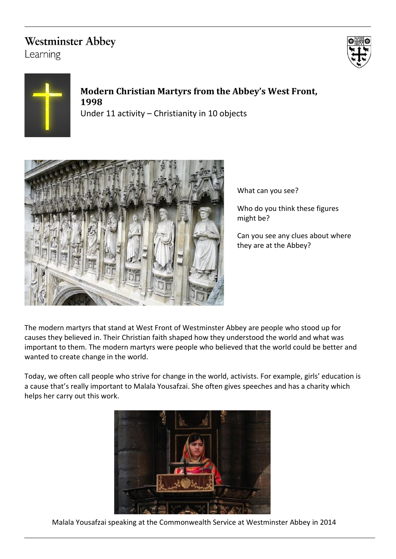# **Westminster Abbey**

Learning





## **Modern Christian Martyrs from the Abbey's West Front, 1998** Under 11 activity – Christianity in 10 objects



What can you see?

Who do you think these figures might be?

Can you see any clues about where they are at the Abbey?

The modern martyrs that stand at West Front of Westminster Abbey are people who stood up for causes they believed in. Their Christian faith shaped how they understood the world and what was important to them. The modern martyrs were people who believed that the world could be better and wanted to create change in the world.

Today, we often call people who strive for change in the world, activists. For example, girls' education is a cause that's really important to Malala Yousafzai. She often gives speeches and has a charity which helps her carry out this work.



Malala Yousafzai speaking at the Commonwealth Service at Westminster Abbey in 2014